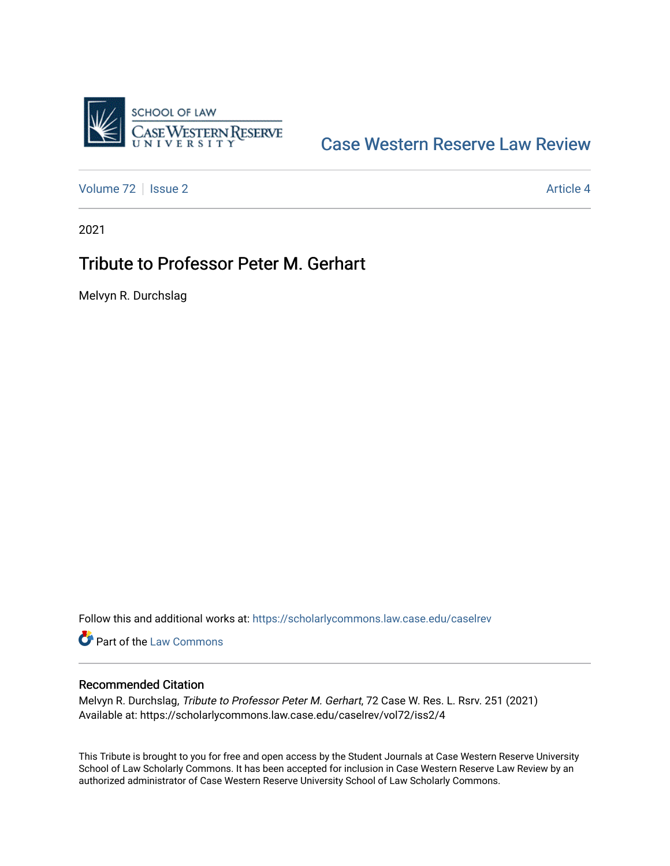

## [Case Western Reserve Law Review](https://scholarlycommons.law.case.edu/caselrev)

[Volume 72](https://scholarlycommons.law.case.edu/caselrev/vol72) | [Issue 2](https://scholarlycommons.law.case.edu/caselrev/vol72/iss2) Article 4

2021

## Tribute to Professor Peter M. Gerhart

Melvyn R. Durchslag

Follow this and additional works at: [https://scholarlycommons.law.case.edu/caselrev](https://scholarlycommons.law.case.edu/caselrev?utm_source=scholarlycommons.law.case.edu%2Fcaselrev%2Fvol72%2Fiss2%2F4&utm_medium=PDF&utm_campaign=PDFCoverPages)

**Part of the [Law Commons](https://network.bepress.com/hgg/discipline/578?utm_source=scholarlycommons.law.case.edu%2Fcaselrev%2Fvol72%2Fiss2%2F4&utm_medium=PDF&utm_campaign=PDFCoverPages)** 

## Recommended Citation

Melvyn R. Durchslag, Tribute to Professor Peter M. Gerhart, 72 Case W. Res. L. Rsrv. 251 (2021) Available at: https://scholarlycommons.law.case.edu/caselrev/vol72/iss2/4

This Tribute is brought to you for free and open access by the Student Journals at Case Western Reserve University School of Law Scholarly Commons. It has been accepted for inclusion in Case Western Reserve Law Review by an authorized administrator of Case Western Reserve University School of Law Scholarly Commons.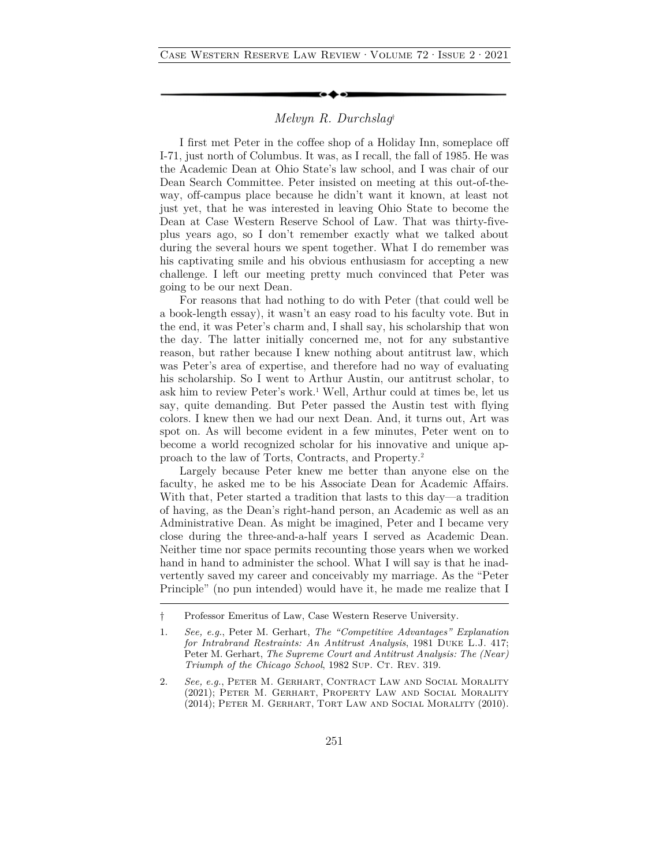## *Melvyn R. Durchslag*†

I first met Peter in the coffee shop of a Holiday Inn, someplace off I-71, just north of Columbus. It was, as I recall, the fall of 1985. He was the Academic Dean at Ohio State's law school, and I was chair of our Dean Search Committee. Peter insisted on meeting at this out-of-theway, off-campus place because he didn't want it known, at least not just yet, that he was interested in leaving Ohio State to become the Dean at Case Western Reserve School of Law. That was thirty-fiveplus years ago, so I don't remember exactly what we talked about during the several hours we spent together. What I do remember was his captivating smile and his obvious enthusiasm for accepting a new challenge. I left our meeting pretty much convinced that Peter was going to be our next Dean.

For reasons that had nothing to do with Peter (that could well be a book-length essay), it wasn't an easy road to his faculty vote. But in the end, it was Peter's charm and, I shall say, his scholarship that won the day. The latter initially concerned me, not for any substantive reason, but rather because I knew nothing about antitrust law, which was Peter's area of expertise, and therefore had no way of evaluating his scholarship. So I went to Arthur Austin, our antitrust scholar, to ask him to review Peter's work.<sup>1</sup> Well, Arthur could at times be, let us say, quite demanding. But Peter passed the Austin test with flying colors. I knew then we had our next Dean. And, it turns out, Art was spot on. As will become evident in a few minutes, Peter went on to become a world recognized scholar for his innovative and unique approach to the law of Torts, Contracts, and Property.2

Largely because Peter knew me better than anyone else on the faculty, he asked me to be his Associate Dean for Academic Affairs. With that, Peter started a tradition that lasts to this day—a tradition of having, as the Dean's right-hand person, an Academic as well as an Administrative Dean. As might be imagined, Peter and I became very close during the three-and-a-half years I served as Academic Dean. Neither time nor space permits recounting those years when we worked hand in hand to administer the school. What I will say is that he inadvertently saved my career and conceivably my marriage. As the "Peter Principle" (no pun intended) would have it, he made me realize that I

<sup>†</sup> Professor Emeritus of Law, Case Western Reserve University.

<sup>1.</sup> *See, e.g.*, Peter M. Gerhart, *The "Competitive Advantages" Explanation for Intrabrand Restraints: An Antitrust Analysis*, 1981 Duke L.J. 417; Peter M. Gerhart, *The Supreme Court and Antitrust Analysis: The (Near) Triumph of the Chicago School*, 1982 Sup. CT. Rev. 319.

<sup>2.</sup> *See, e.g.*, Peter M. Gerhart, Contract Law and Social Morality (2021); Peter M. Gerhart, Property Law and Social Morality (2014); Peter M. Gerhart, Tort Law and Social Morality (2010).